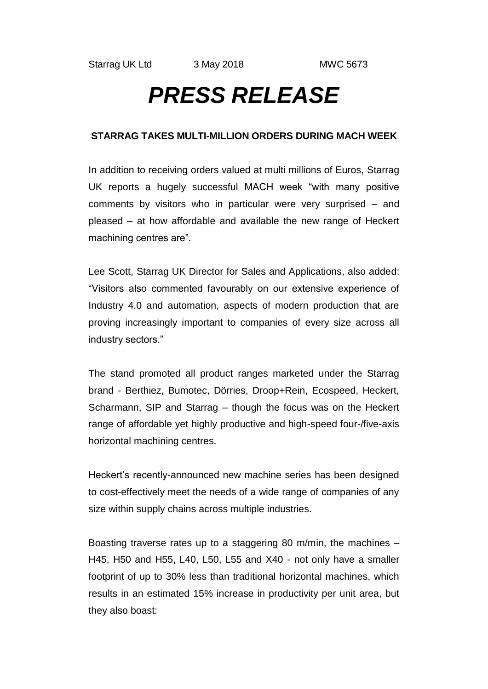## *PRESS RELEASE*

## **STARRAG TAKES MULTI-MILLION ORDERS DURING MACH WEEK**

In addition to receiving orders valued at multi millions of Euros, Starrag UK reports a hugely successful MACH week "with many positive comments by visitors who in particular were very surprised – and pleased – at how affordable and available the new range of Heckert machining centres are".

Lee Scott, Starrag UK Director for Sales and Applications, also added: "Visitors also commented favourably on our extensive experience of Industry 4.0 and automation, aspects of modern production that are proving increasingly important to companies of every size across all industry sectors."

The stand promoted all product ranges marketed under the Starrag brand - Berthiez, Bumotec, Dörries, Droop+Rein, Ecospeed, Heckert, Scharmann, SIP and Starrag – though the focus was on the Heckert range of affordable yet highly productive and high-speed four-/five-axis horizontal machining centres.

Heckert's recently-announced new machine series has been designed to cost-effectively meet the needs of a wide range of companies of any size within supply chains across multiple industries.

Boasting traverse rates up to a staggering 80 m/min, the machines – H45, H50 and H55, L40, L50, L55 and X40 - not only have a smaller footprint of up to 30% less than traditional horizontal machines, which results in an estimated 15% increase in productivity per unit area, but they also boast: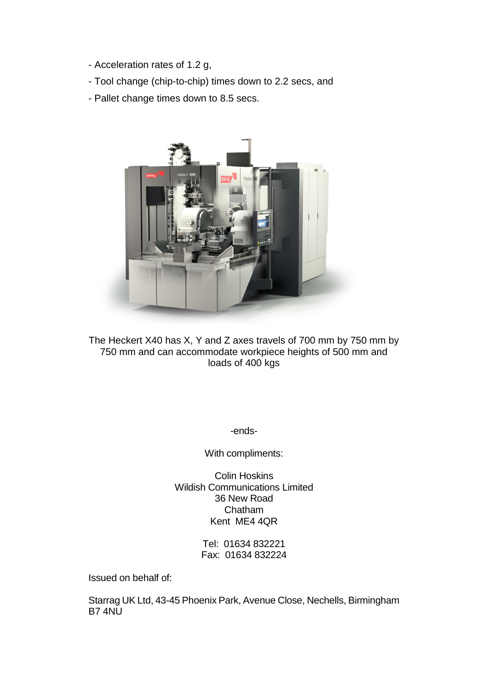- Acceleration rates of 1.2 g,
- Tool change (chip-to-chip) times down to 2.2 secs, and
- Pallet change times down to 8.5 secs.



The Heckert X40 has X, Y and Z axes travels of 700 mm by 750 mm by 750 mm and can accommodate workpiece heights of 500 mm and loads of 400 kgs

-ends-

With compliments:

Colin Hoskins Wildish Communications Limited 36 New Road Chatham Kent ME4 4QR

> Tel: 01634 832221 Fax: 01634 832224

Issued on behalf of:

Starrag UK Ltd, 43-45 Phoenix Park, Avenue Close, Nechells, Birmingham B7 4NU